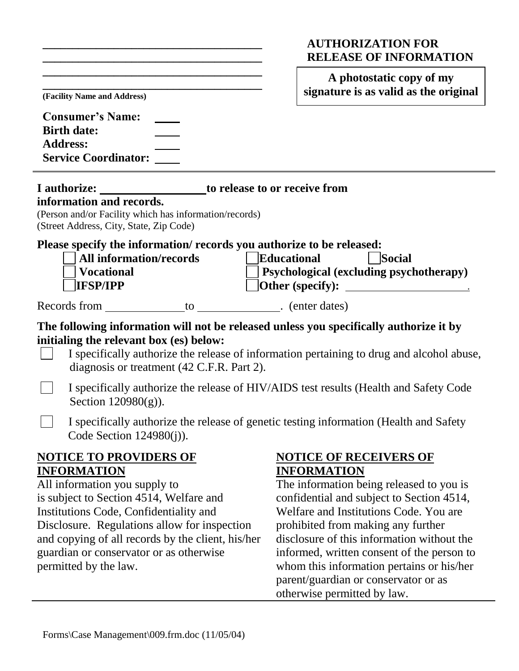| <u> 1980 - Johann John Harry Harry Harry Harry Harry Harry Harry Harry Harry Harry Harry Harry Harry Harry Harry H</u>                                                                                                                                              | <b>AUTHORIZATION FOR</b><br><b>RELEASE OF INFORMATION</b>                                                                                                                          |
|---------------------------------------------------------------------------------------------------------------------------------------------------------------------------------------------------------------------------------------------------------------------|------------------------------------------------------------------------------------------------------------------------------------------------------------------------------------|
| <u> 1999 - Johann John Harry Harry Harry Harry Harry Harry Harry Harry Harry Harry Harry Harry Harry Harry Harry Harry Harry Harry Harry Harry Harry Harry Harry Harry Harry Harry Harry Harry Harry Harry Harry Harry Harry Har</u><br>(Facility Name and Address) | A photostatic copy of my<br>signature is as valid as the original                                                                                                                  |
| <b>Consumer's Name:</b><br><b>Birth date:</b><br><b>Address:</b><br><b>Service Coordinator:</b>                                                                                                                                                                     |                                                                                                                                                                                    |
| I authorize: _________________________to release to or receive from<br>information and records.<br>(Person and/or Facility which has information/records)<br>(Street Address, City, State, Zip Code)                                                                |                                                                                                                                                                                    |
| Please specify the information/ records you authorize to be released:<br><b>All information/records</b><br><b>Vocational</b><br><b>IFSP/IPP</b>                                                                                                                     | Educational<br>  Social<br>Psychological (excluding psychotherapy)                                                                                                                 |
| Records from to to the center dates)                                                                                                                                                                                                                                |                                                                                                                                                                                    |
| The following information will not be released unless you specifically authorize it by<br>initialing the relevant box (es) below:<br>diagnosis or treatment (42 C.F.R. Part 2).<br>Section $120980(g)$ ).                                                           | I specifically authorize the release of information pertaining to drug and alcohol abuse,<br>I specifically authorize the release of HIV/AIDS test results (Health and Safety Code |
| I specifically authorize the release of genetic testing information (Health and Safety<br>Code Section $124980(j)$ ).                                                                                                                                               |                                                                                                                                                                                    |
| <b>NOTICE TO PROVIDERS OF</b><br><b>INFORMATION</b><br>All information you supply to<br>is subject to Section 4514, Welfare and                                                                                                                                     | <b>NOTICE OF RECEIVERS OF</b><br><b>INFORMATION</b><br>The information being released to you is<br>confidential and subject to Section 4514,                                       |
| Institutions Code, Confidentiality and<br>Disclosure. Regulations allow for inspection<br>and conving of all records by the client his her                                                                                                                          | Welfare and Institutions Code. You are<br>prohibited from making any further<br>dicologura of this information without the                                                         |

and copying of all records by the client, his/her guardian or conservator or as otherwise permitted by the law.

disclosure of this information without the informed, written consent of the person to whom this information pertains or his/her parent/guardian or conservator or as otherwise permitted by law.